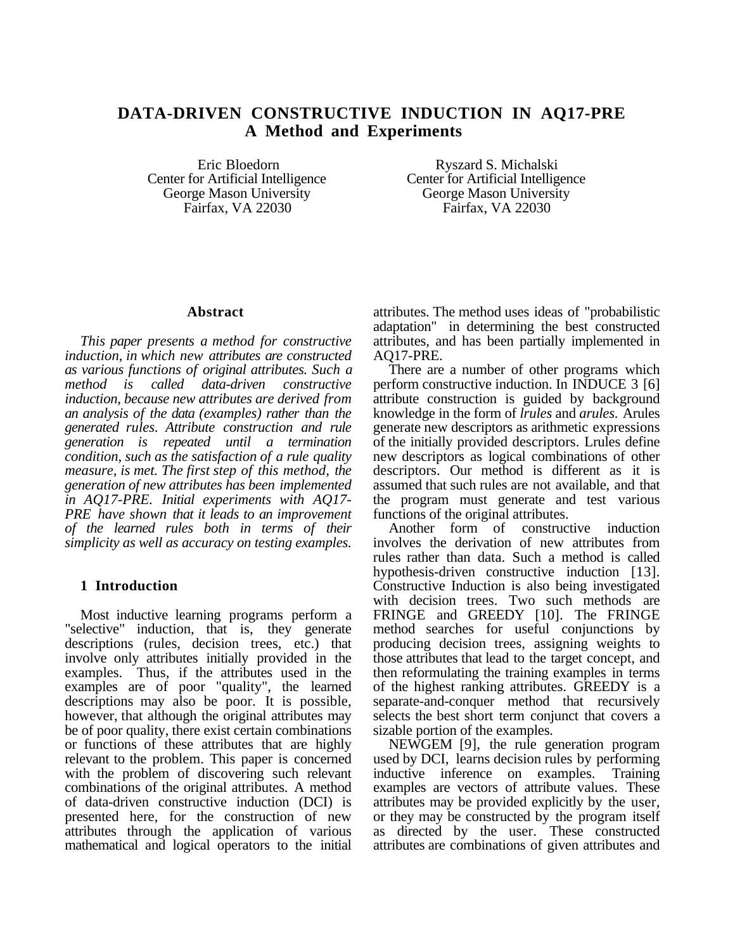# **DATA-DRIVEN CONSTRUCTIVE INDUCTION IN AQ17-PRE: A Method and Experiments**

Center for Artificial Intelligence George Mason University<br>
Fairfax, VA 22030<br>
Fairfax, VA 22030<br>
Fairfax, VA 22030

Eric Bloedorn<br>
Intelligence<br>
Center for Artificial Intelligence<br>
Center for Artificial Intelligence Fairfax, VA 22030 Fairfax, VA 22030

### **Abstract**

*This paper presents a method for constructive induction, in which new attributes are constructed as various functions of original attributes. Such a method is called data-driven constructive induction, because new attributes are derived from an analysis of the data (examples) rather than the generated rules. Attribute construction and rule generation is repeated until a termination condition, such as the satisfaction of a rule quality measure, is met. The first step of this method, the generation of new attributes has been implemented in AQ17-PRE. Initial experiments with AQ17- PRE have shown that it leads to an improvement of the learned rules both in terms of their simplicity as well as accuracy on testing examples.*

# **1 Introduction**

Most inductive learning programs perform a "selective" induction, that is, they generate descriptions (rules, decision trees, etc.) that involve only attributes initially provided in the examples. Thus, if the attributes used in the examples are of poor "quality", the learned descriptions may also be poor. It is possible, however, that although the original attributes may be of poor quality, there exist certain combinations or functions of these attributes that are highly relevant to the problem. This paper is concerned with the problem of discovering such relevant combinations of the original attributes. A method of data-driven constructive induction (DCI) is presented here, for the construction of new attributes through the application of various mathematical and logical operators to the initial

attributes. The method uses ideas of "probabilistic adaptation" in determining the best constructed attributes, and has been partially implemented in AQ17-PRE.

There are a number of other programs which perform constructive induction. In INDUCE 3 [6] attribute construction is guided by background knowledge in the form of *lrules* and *arules*. Arules generate new descriptors as arithmetic expressions of the initially provided descriptors. Lrules define new descriptors as logical combinations of other descriptors. Our method is different as it is assumed that such rules are not available, and that the program must generate and test various functions of the original attributes.

Another form of constructive induction involves the derivation of new attributes from rules rather than data. Such a method is called hypothesis-driven constructive induction [13]. Constructive Induction is also being investigated with decision trees. Two such methods are FRINGE and GREEDY [10]. The FRINGE method searches for useful conjunctions by producing decision trees, assigning weights to those attributes that lead to the target concept, and then reformulating the training examples in terms of the highest ranking attributes. GREEDY is a separate-and-conquer method that recursively selects the best short term conjunct that covers a sizable portion of the examples.

NEWGEM [9], the rule generation program used by DCI, learns decision rules by performing inductive inference on examples. Training examples are vectors of attribute values. These attributes may be provided explicitly by the user, or they may be constructed by the program itself as directed by the user. These constructed attributes are combinations of given attributes and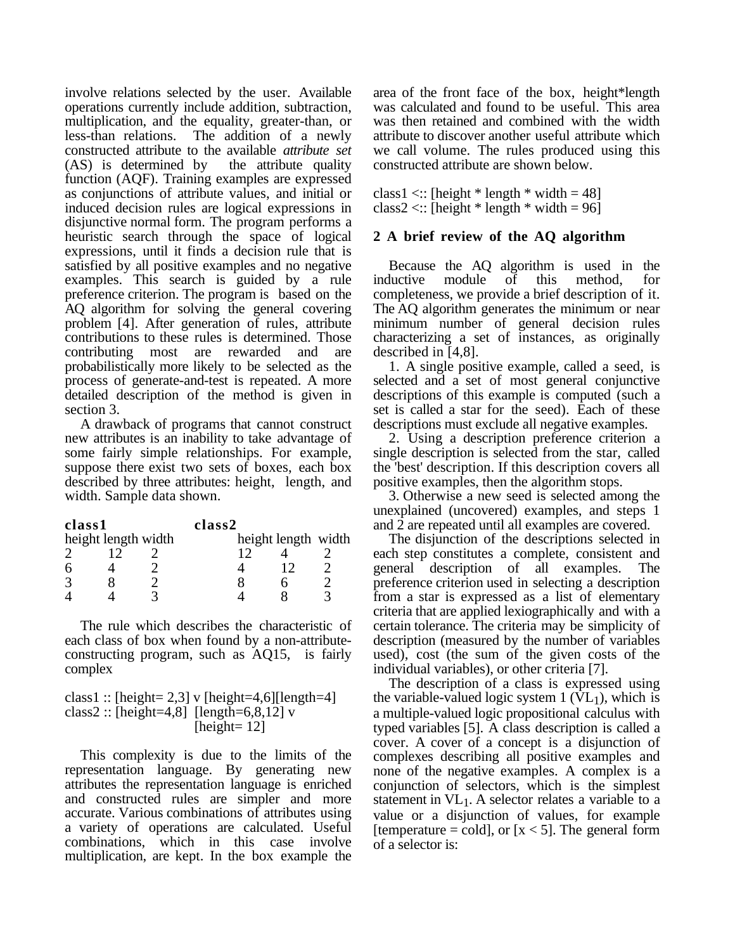involve relations selected by the user. Available operations currently include addition, subtraction, multiplication, and the equality, greater-than, or less-than relations. The addition of a newly constructed attribute to the available *attribute set* (AS) is determined by the attribute quality function (AQF). Training examples are expressed as conjunctions of attribute values, and initial or induced decision rules are logical expressions in disjunctive normal form. The program performs a heuristic search through the space of logical expressions, until it finds a decision rule that is satisfied by all positive examples and no negative examples. This search is guided by a rule preference criterion. The program is based on the AQ algorithm for solving the general covering problem [4]. After generation of rules, attribute contributions to these rules is determined. Those contributing most are rewarded and are probabilistically more likely to be selected as the process of generate-and-test is repeated. A more detailed description of the method is given in section 3.

A drawback of programs that cannot construct new attributes is an inability to take advantage of some fairly simple relationships. For example, suppose there exist two sets of boxes, each box described by three attributes: height, length, and width. Sample data shown.

| class1 |                     | class2 |                     |  |
|--------|---------------------|--------|---------------------|--|
|        | height length width |        | height length width |  |
|        | 1 $\cap$            |        | 1 າ                 |  |
|        |                     |        |                     |  |
|        |                     |        |                     |  |
|        |                     |        |                     |  |

The rule which describes the characteristic of each class of box when found by a non-attributeconstructing program, such as AQ15, is fairly complex

class1 :: [height= 2,3] v [height=4,6][length=4] class2 :: [height=4,8] [length=6,8,12] v [height=  $12$ ]

This complexity is due to the limits of the representation language. By generating new attributes the representation language is enriched and constructed rules are simpler and more accurate. Various combinations of attributes using a variety of operations are calculated. Useful combinations, which in this case involve multiplication, are kept. In the box example the area of the front face of the box, height\*length was calculated and found to be useful. This area was then retained and combined with the width attribute to discover another useful attribute which we call volume. The rules produced using this constructed attribute are shown below.

class1  $\lt$ :: [height \* length \* width = 48] class2  $\lt$ :: [height \* length \* width = 96]

# **2 A brief review of the AQ algorithm**

Because the AQ algorithm is used in the inductive module of this method, for completeness, we provide a brief description of it. The AQ algorithm generates the minimum or near minimum number of general decision rules characterizing a set of instances, as originally described in [4,8].

1. A single positive example, called a seed, is selected and a set of most general conjunctive descriptions of this example is computed (such a set is called a star for the seed). Each of these descriptions must exclude all negative examples.

2. Using a description preference criterion a single description is selected from the star, called the 'best' description. If this description covers all positive examples, then the algorithm stops.

3. Otherwise a new seed is selected among the unexplained (uncovered) examples, and steps 1 and 2 are repeated until all examples are covered.

The disjunction of the descriptions selected in each step constitutes a complete, consistent and general description of all examples. The preference criterion used in selecting a description from a star is expressed as a list of elementary criteria that are applied lexiographically and with a certain tolerance. The criteria may be simplicity of description (measured by the number of variables used), cost (the sum of the given costs of the individual variables), or other criteria [7].

The description of a class is expressed using the variable-valued logic system  $1 (VL<sub>1</sub>)$ , which is a multiple-valued logic propositional calculus with typed variables [5]. A class description is called a cover. A cover of a concept is a disjunction of complexes describing all positive examples and none of the negative examples. A complex is a conjunction of selectors, which is the simplest statement in VL1. A selector relates a variable to a value or a disjunction of values, for example [temperature = cold], or  $[x < 5]$ . The general form of a selector is: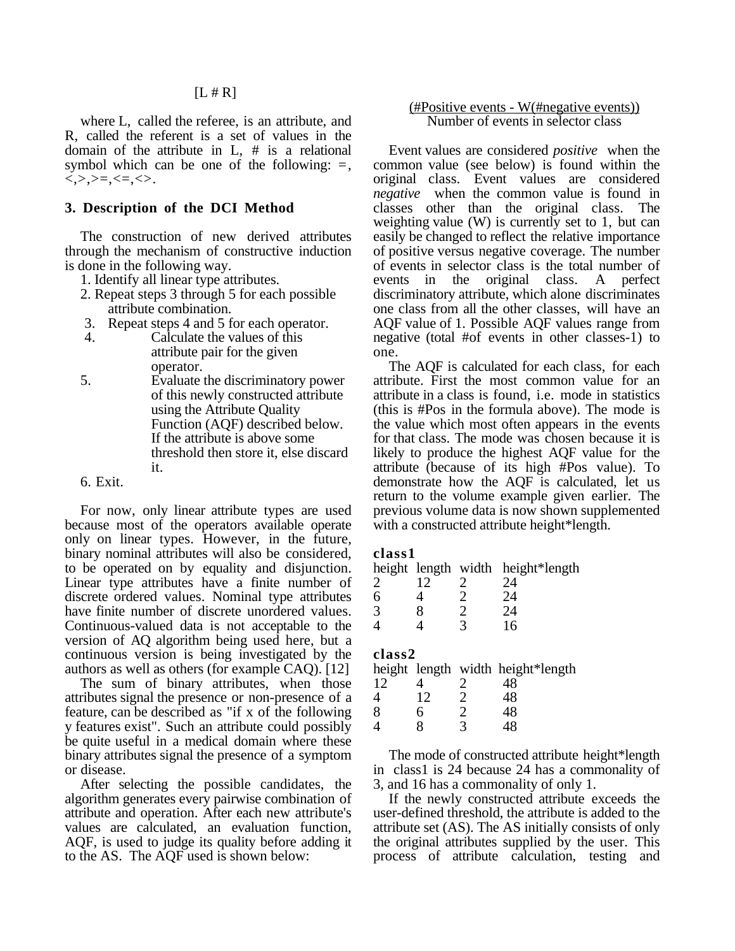### $[L # R]$

where L, called the referee, is an attribute, and R, called the referent is a set of values in the domain of the attribute in L, # is a relational symbol which can be one of the following:  $=$ ,  $\langle \rangle$ ,  $\rangle$   $\rangle$   $\langle \rangle$ ,  $\langle \rangle$ ,  $\langle \rangle$ ,

#### **3. Description of the DCI Method**

The construction of new derived attributes through the mechanism of constructive induction is done in the following way.

- 1. Identify all linear type attributes.
- 2. Repeat steps 3 through 5 for each possible attribute combination.
- 3. Repeat steps 4 and 5 for each operator.
- 4. Calculate the values of this attribute pair for the given operator.
- 5. Evaluate the discriminatory power of this newly constructed attribute using the Attribute Quality Function (AQF) described below. If the attribute is above some threshold then store it, else discard it.
- 6. Exit.

For now, only linear attribute types are used because most of the operators available operate only on linear types. However, in the future, binary nominal attributes will also be considered, to be operated on by equality and disjunction. Linear type attributes have a finite number of discrete ordered values. Nominal type attributes have finite number of discrete unordered values. Continuous-valued data is not acceptable to the version of AQ algorithm being used here, but a continuous version is being investigated by the authors as well as others (for example CAQ). [12]

The sum of binary attributes, when those attributes signal the presence or non-presence of a feature, can be described as "if x of the following y features exist". Such an attribute could possibly be quite useful in a medical domain where these binary attributes signal the presence of a symptom or disease.

After selecting the possible candidates, the algorithm generates every pairwise combination of attribute and operation. After each new attribute's values are calculated, an evaluation function, AQF, is used to judge its quality before adding it to the AS. The AQF used is shown below:

#### (#Positive events - W(#negative events)) Number of events in selector class

Event values are considered *positive* when the common value (see below) is found within the original class. Event values are considered *negative* when the common value is found in classes other than the original class. The weighting value (W) is currently set to 1, but can easily be changed to reflect the relative importance of positive versus negative coverage. The number of events in selector class is the total number of events in the original class. A perfect discriminatory attribute, which alone discriminates one class from all the other classes, will have an AQF value of 1. Possible AQF values range from negative (total #of events in other classes-1) to one.

The AQF is calculated for each class, for each attribute. First the most common value for an attribute in a class is found, i.e. mode in statistics (this is #Pos in the formula above). The mode is the value which most often appears in the events for that class. The mode was chosen because it is likely to produce the highest AQF value for the attribute (because of its high #Pos value). To demonstrate how the AQF is calculated, let us return to the volume example given earlier. The previous volume data is now shown supplemented with a constructed attribute height\*length.

#### **class1**

|                             |   | height length width height*length |
|-----------------------------|---|-----------------------------------|
| $\mathcal{D}_{\mathcal{L}}$ |   | 24                                |
| 6                           |   | 24                                |
| 3                           |   | 24                                |
|                             | 3 | 16                                |

#### **class2**

|    |    |   | height length width height*length |
|----|----|---|-----------------------------------|
| 12 |    |   | 18                                |
| 4  | 12 |   | 48                                |
| 8  | h  |   | 48                                |
|    |    | 3 |                                   |

The mode of constructed attribute height\*length in class1 is 24 because 24 has a commonality of 3, and 16 has a commonality of only 1.

If the newly constructed attribute exceeds the user-defined threshold, the attribute is added to the attribute set (AS). The AS initially consists of only the original attributes supplied by the user. This process of attribute calculation, testing and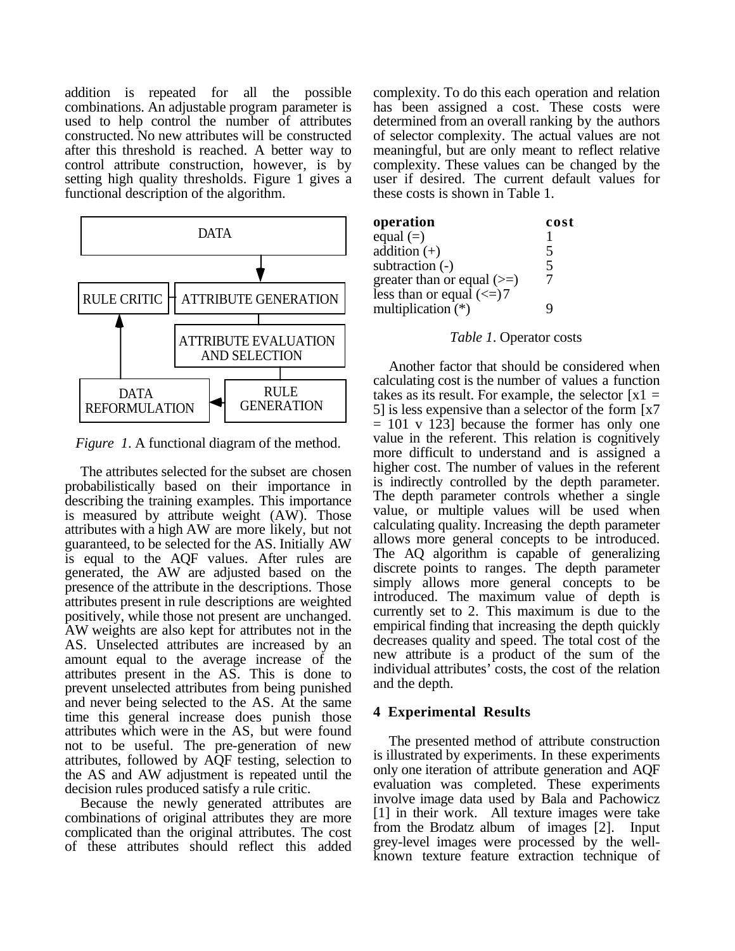addition is repeated for all the possible combinations. An adjustable program parameter is used to help control the number of attributes constructed. No new attributes will be constructed after this threshold is reached. A better way to control attribute construction, however, is by setting high quality thresholds. Figure 1 gives a functional description of the algorithm.



*Figure 1*. A functional diagram of the method.

The attributes selected for the subset are chosen probabilistically based on their importance in describing the training examples. This importance is measured by attribute weight (AW). Those attributes with a high AW are more likely, but not guaranteed, to be selected for the AS. Initially AW is equal to the AQF values. After rules are generated, the AW are adjusted based on the presence of the attribute in the descriptions. Those attributes present in rule descriptions are weighted positively, while those not present are unchanged. AW weights are also kept for attributes not in the AS. Unselected attributes are increased by an amount equal to the average increase of the attributes present in the AS. This is done to prevent unselected attributes from being punished and never being selected to the AS. At the same time this general increase does punish those attributes which were in the AS, but were found not to be useful. The pre-generation of new attributes, followed by AQF testing, selection to the AS and AW adjustment is repeated until the decision rules produced satisfy a rule critic.

Because the newly generated attributes are combinations of original attributes they are more complicated than the original attributes. The cost of these attributes should reflect this added complexity. To do this each operation and relation has been assigned a cost. These costs were determined from an overall ranking by the authors of selector complexity. The actual values are not meaningful, but are only meant to reflect relative complexity. These values can be changed by the user if desired. The current default values for these costs is shown in Table 1.

| operation                      | cost |
|--------------------------------|------|
| equal $(=)$                    |      |
| addition $(+)$                 | 5    |
| subtraction (-)                | 5    |
| greater than or equal $(\geq)$ |      |
| less than or equal $(\leq)7$   |      |
| multiplication (*)             |      |

# *Table 1*. Operator costs

Another factor that should be considered when calculating cost is the number of values a function takes as its result. For example, the selector  $[x1 =$ 5] is less expensive than a selector of the form [x7  $= 101$  v 123] because the former has only one value in the referent. This relation is cognitively more difficult to understand and is assigned a higher cost. The number of values in the referent is indirectly controlled by the depth parameter. The depth parameter controls whether a single value, or multiple values will be used when calculating quality. Increasing the depth parameter allows more general concepts to be introduced. The AQ algorithm is capable of generalizing discrete points to ranges. The depth parameter simply allows more general concepts to be introduced. The maximum value of depth is currently set to 2. This maximum is due to the empirical finding that increasing the depth quickly decreases quality and speed. The total cost of the new attribute is a product of the sum of the individual attributes' costs, the cost of the relation and the depth.

# **4 Experimental Results**

The presented method of attribute construction is illustrated by experiments. In these experiments only one iteration of attribute generation and AQF evaluation was completed. These experiments involve image data used by Bala and Pachowicz [1] in their work. All texture images were take from the Brodatz album of images [2]. Input grey-level images were processed by the wellknown texture feature extraction technique of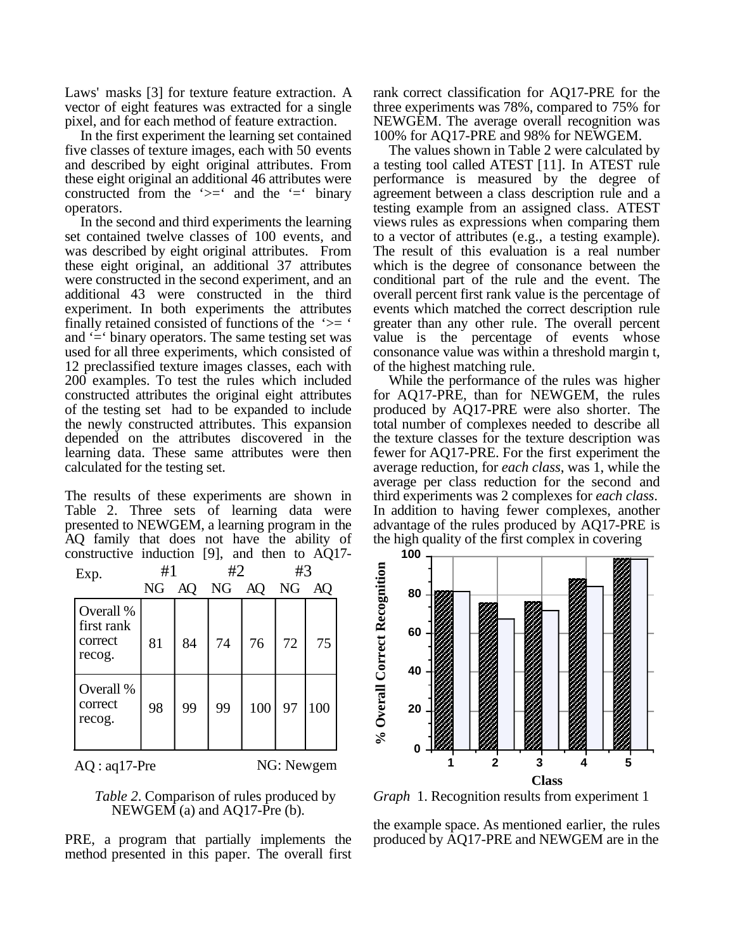Laws' masks [3] for texture feature extraction. A vector of eight features was extracted for a single pixel, and for each method of feature extraction.

In the first experiment the learning set contained five classes of texture images, each with 50 events and described by eight original attributes. From these eight original an additional 46 attributes were constructed from the  $\leq$  and the  $\leq$  binary operators.

In the second and third experiments the learning set contained twelve classes of 100 events, and was described by eight original attributes. From these eight original, an additional 37 attributes were constructed in the second experiment, and an additional 43 were constructed in the third experiment. In both experiments the attributes finally retained consisted of functions of the  $\leq$   $\leq$ and '=' binary operators. The same testing set was used for all three experiments, which consisted of 12 preclassified texture images classes, each with 200 examples. To test the rules which included constructed attributes the original eight attributes of the testing set had to be expanded to include the newly constructed attributes. This expansion depended on the attributes discovered in the learning data. These same attributes were then calculated for the testing set.

The results of these experiments are shown in Table 2. Three sets of learning data were presented to NEWGEM, a learning program in the AQ family that does not have the ability of constructive induction [9], and then to AQ17-

| Exp.                                         | #1 |    | #2    |     | #3 |     |
|----------------------------------------------|----|----|-------|-----|----|-----|
|                                              | NG | AQ | NG AQ |     | NG | AQ  |
| Overall %<br>first rank<br>correct<br>recog. | 81 | 84 | 74    | 76  | 72 | 75  |
| Overall %<br>correct<br>recog.               | 98 | 99 | 99    | 100 | 97 | 100 |

# AQ : aq17-Pre NG: Newgem

### *Table 2*. Comparison of rules produced by NEWGEM (a) and AQ17-Pre (b).

PRE, a program that partially implements the method presented in this paper. The overall first rank correct classification for AQ17-PRE for the three experiments was 78%, compared to 75% for NEWGEM. The average overall recognition was 100% for AQ17-PRE and 98% for NEWGEM.

The values shown in Table 2 were calculated by a testing tool called ATEST [11]. In ATEST rule performance is measured by the degree of agreement between a class description rule and a testing example from an assigned class. ATEST views rules as expressions when comparing them to a vector of attributes (e.g., a testing example). The result of this evaluation is a real number which is the degree of consonance between the conditional part of the rule and the event. The overall percent first rank value is the percentage of events which matched the correct description rule greater than any other rule. The overall percent value is the percentage of events whose consonance value was within a threshold margin t, of the highest matching rule.

While the performance of the rules was higher for AQ17-PRE, than for NEWGEM, the rules produced by AQ17-PRE were also shorter. The total number of complexes needed to describe all the texture classes for the texture description was fewer for AQ17-PRE. For the first experiment the average reduction, for *each class*, was 1, while the average per class reduction for the second and third experiments was 2 complexes for *each class*. In addition to having fewer complexes, another advantage of the rules produced by AQ17-PRE is the high quality of the first complex in covering



*Graph* 1. Recognition results from experiment 1

the example space. As mentioned earlier, the rules produced by AQ17-PRE and NEWGEM are in the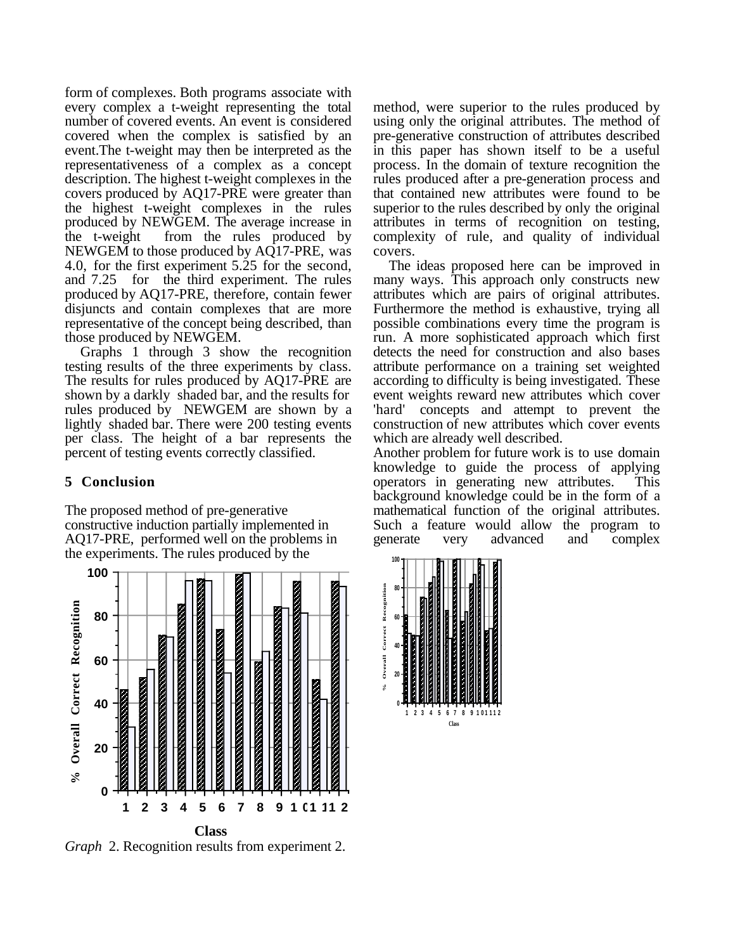form of complexes. Both programs associate with every complex a t-weight representing the total number of covered events. An event is considered covered when the complex is satisfied by an event.The t-weight may then be interpreted as the representativeness of a complex as a concept description. The highest t-weight complexes in the covers produced by AQ17-PRE were greater than the highest t-weight complexes in the rules produced by NEWGEM. The average increase in the t-weight from the rules produced by NEWGEM to those produced by AQ17-PRE, was 4.0, for the first experiment 5.25 for the second, and 7.25 for the third experiment. The rules produced by AQ17-PRE, therefore, contain fewer disjuncts and contain complexes that are more representative of the concept being described, than those produced by NEWGEM.

Graphs 1 through 3 show the recognition testing results of the three experiments by class. The results for rules produced by AQ17-PRE are shown by a darkly shaded bar, and the results for rules produced by NEWGEM are shown by a lightly shaded bar. There were 200 testing events per class. The height of a bar represents the percent of testing events correctly classified.

# **5 Conclusion**

The proposed method of pre-generative constructive induction partially implemented in AQ17-PRE, performed well on the problems in the experiments. The rules produced by the



*Graph* 2. Recognition results from experiment 2.

method, were superior to the rules produced by using only the original attributes. The method of pre-generative construction of attributes described in this paper has shown itself to be a useful process. In the domain of texture recognition the rules produced after a pre-generation process and that contained new attributes were found to be superior to the rules described by only the original attributes in terms of recognition on testing, complexity of rule, and quality of individual covers.

The ideas proposed here can be improved in many ways. This approach only constructs new attributes which are pairs of original attributes. Furthermore the method is exhaustive, trying all possible combinations every time the program is run. A more sophisticated approach which first detects the need for construction and also bases attribute performance on a training set weighted according to difficulty is being investigated. These event weights reward new attributes which cover 'hard' concepts and attempt to prevent the construction of new attributes which cover events which are already well described.

Another problem for future work is to use domain knowledge to guide the process of applying operators in generating new attributes. This background knowledge could be in the form of a mathematical function of the original attributes. Such a feature would allow the program to generate very advanced and complex